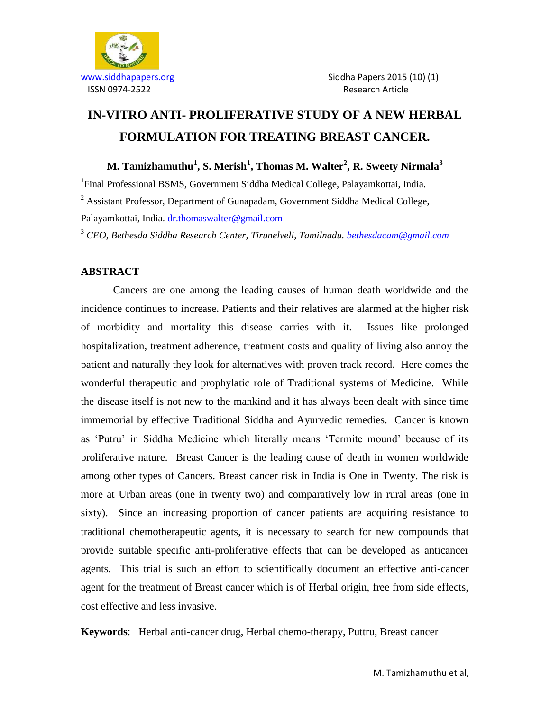

# **IN-VITRO ANTI- PROLIFERATIVE STUDY OF A NEW HERBAL FORMULATION FOR TREATING BREAST CANCER.**

**M. Tamizhamuthu<sup>1</sup> , S. Merish<sup>1</sup> , Thomas M. Walter<sup>2</sup> , R. Sweety Nirmala<sup>3</sup>**

<sup>1</sup>Final Professional BSMS, Government Siddha Medical College, Palayamkottai, India. <sup>2</sup> Assistant Professor, Department of Gunapadam, Government Siddha Medical College,

Palayamkottai, India. [dr.thomaswalter@gmail.com](mailto:dr.thomaswalter@gmail.com)

<sup>3</sup> *CEO, Bethesda Siddha Research Center, Tirunelveli, Tamilnadu. [bethesdacam@gmail.com](mailto:bethesdacam@gmail.com)*

## **ABSTRACT**

Cancers are one among the leading causes of human death worldwide and the incidence continues to increase. Patients and their relatives are alarmed at the higher risk of morbidity and mortality this disease carries with it. Issues like prolonged hospitalization, treatment adherence, treatment costs and quality of living also annoy the patient and naturally they look for alternatives with proven track record. Here comes the wonderful therapeutic and prophylatic role of Traditional systems of Medicine. While the disease itself is not new to the mankind and it has always been dealt with since time immemorial by effective Traditional Siddha and Ayurvedic remedies. Cancer is known as "Putru" in Siddha Medicine which literally means "Termite mound" because of its proliferative nature. Breast Cancer is the leading cause of death in women worldwide among other types of Cancers. Breast cancer risk in India is One in Twenty. The risk is more at Urban areas (one in twenty two) and comparatively low in rural areas (one in sixty). Since an increasing proportion of cancer patients are acquiring resistance to traditional chemotherapeutic agents, it is necessary to search for new compounds that provide suitable specific anti-proliferative effects that can be developed as anticancer agents. This trial is such an effort to scientifically document an effective anti-cancer agent for the treatment of Breast cancer which is of Herbal origin, free from side effects, cost effective and less invasive.

**Keywords**: Herbal anti-cancer drug, Herbal chemo-therapy, Puttru, Breast cancer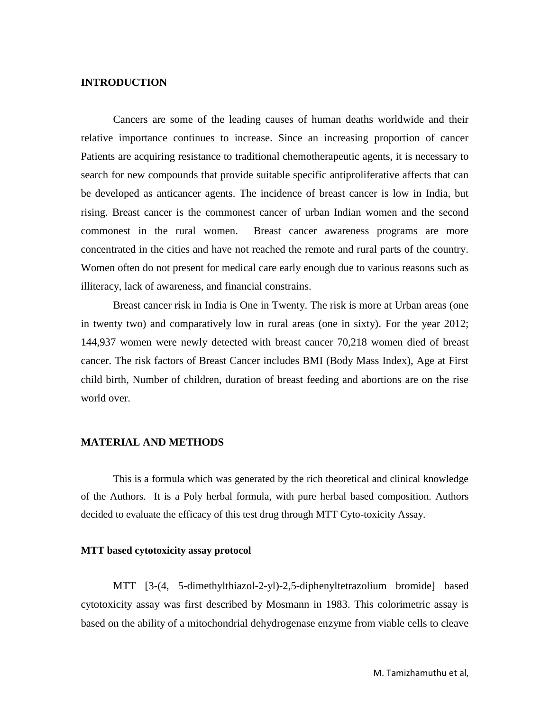### **INTRODUCTION**

Cancers are some of the leading causes of human deaths worldwide and their relative importance continues to increase. Since an increasing proportion of cancer Patients are acquiring resistance to traditional chemotherapeutic agents, it is necessary to search for new compounds that provide suitable specific antiproliferative affects that can be developed as anticancer agents. The incidence of breast cancer is low in India, but rising. Breast cancer is the commonest cancer of urban Indian women and the second commonest in the rural women. Breast cancer awareness programs are more concentrated in the cities and have not reached the remote and rural parts of the country. Women often do not present for medical care early enough due to various reasons such as illiteracy, lack of awareness, and financial constrains.

Breast cancer risk in India is One in Twenty. The risk is more at Urban areas (one in twenty two) and comparatively low in rural areas (one in sixty). For the year 2012; 144,937 women were newly detected with breast cancer 70,218 women died of breast cancer. The risk factors of Breast Cancer includes BMI (Body Mass Index), Age at First child birth, Number of children, duration of breast feeding and abortions are on the rise world over.

#### **MATERIAL AND METHODS**

This is a formula which was generated by the rich theoretical and clinical knowledge of the Authors. It is a Poly herbal formula, with pure herbal based composition. Authors decided to evaluate the efficacy of this test drug through MTT Cyto-toxicity Assay.

#### **MTT based cytotoxicity assay protocol**

MTT [3-(4, 5-dimethylthiazol-2-yl)-2,5-diphenyltetrazolium bromide] based cytotoxicity assay was first described by Mosmann in 1983. This colorimetric assay is based on the ability of a mitochondrial dehydrogenase enzyme from viable cells to cleave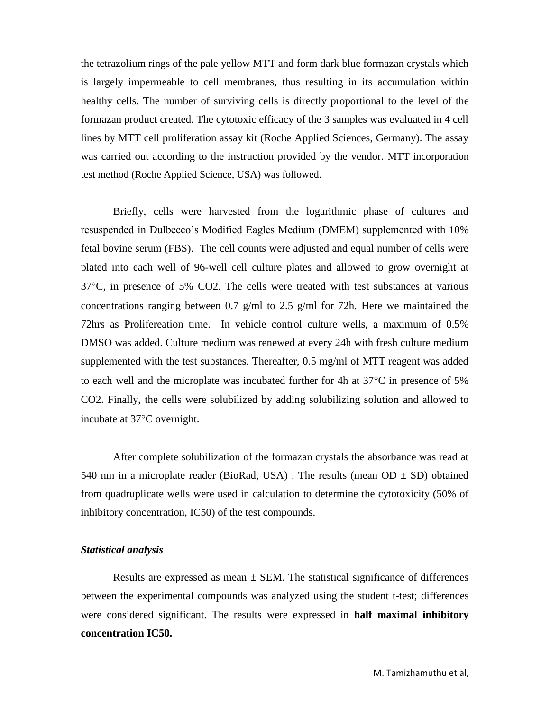the tetrazolium rings of the pale yellow MTT and form dark blue formazan crystals which is largely impermeable to cell membranes, thus resulting in its accumulation within healthy cells. The number of surviving cells is directly proportional to the level of the formazan product created. The cytotoxic efficacy of the 3 samples was evaluated in 4 cell lines by MTT cell proliferation assay kit (Roche Applied Sciences, Germany). The assay was carried out according to the instruction provided by the vendor. MTT incorporation test method (Roche Applied Science, USA) was followed.

Briefly, cells were harvested from the logarithmic phase of cultures and resuspended in Dulbecco"s Modified Eagles Medium (DMEM) supplemented with 10% fetal bovine serum (FBS). The cell counts were adjusted and equal number of cells were plated into each well of 96-well cell culture plates and allowed to grow overnight at  $37^{\circ}$ C, in presence of 5% CO2. The cells were treated with test substances at various concentrations ranging between 0.7 g/ml to 2.5 g/ml for 72h. Here we maintained the 72hrs as Prolifereation time. In vehicle control culture wells, a maximum of 0.5% DMSO was added. Culture medium was renewed at every 24h with fresh culture medium supplemented with the test substances. Thereafter, 0.5 mg/ml of MTT reagent was added to each well and the microplate was incubated further for 4h at  $37^{\circ}$ C in presence of 5% CO2. Finally, the cells were solubilized by adding solubilizing solution and allowed to incubate at 37<sup>o</sup>C overnight.

After complete solubilization of the formazan crystals the absorbance was read at 540 nm in a microplate reader (BioRad, USA). The results (mean  $OD \pm SD$ ) obtained from quadruplicate wells were used in calculation to determine the cytotoxicity (50% of inhibitory concentration, IC50) of the test compounds.

### *Statistical analysis*

Results are expressed as mean  $\pm$  SEM. The statistical significance of differences between the experimental compounds was analyzed using the student t-test; differences were considered significant. The results were expressed in **half maximal inhibitory concentration IC50.**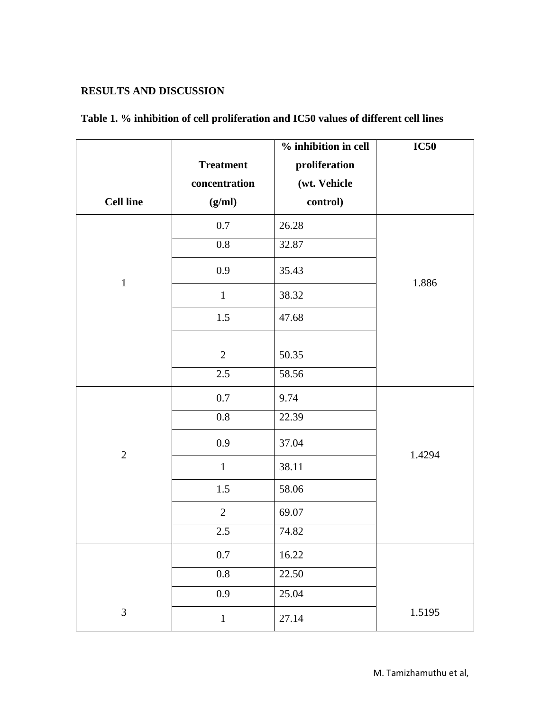# **RESULTS AND DISCUSSION**

|                  |                  | % inhibition in cell | <b>IC50</b> |
|------------------|------------------|----------------------|-------------|
|                  | <b>Treatment</b> | proliferation        |             |
|                  | concentration    | (wt. Vehicle         |             |
| <b>Cell line</b> | (g/ml)           | control)             |             |
|                  | $0.7\,$          | 26.28                |             |
|                  | $0.8\,$          | 32.87                |             |
| $\mathbf{1}$     | 0.9              | 35.43                | 1.886       |
|                  | $\mathbf{1}$     | 38.32                |             |
|                  | 1.5              | 47.68                |             |
|                  |                  |                      |             |
|                  | $\mathbf{2}$     | 50.35                |             |
|                  | 2.5              | 58.56                |             |
| $\overline{2}$   | $0.7\,$          | 9.74                 |             |
|                  | 0.8              | 22.39                |             |
|                  | 0.9              | 37.04                | 1.4294      |
|                  | $\mathbf{1}$     | 38.11                |             |
|                  | 1.5              | 58.06                |             |
|                  | $\overline{2}$   | 69.07                |             |
|                  | $2.5\,$          | 74.82                |             |
|                  | $0.7\,$          | 16.22                |             |
|                  | $0.8\,$          | 22.50                |             |
|                  | 0.9              | 25.04                |             |
| $\mathfrak{Z}$   | $1\,$            | 27.14                | 1.5195      |

# **Table 1. % inhibition of cell proliferation and IC50 values of different cell lines**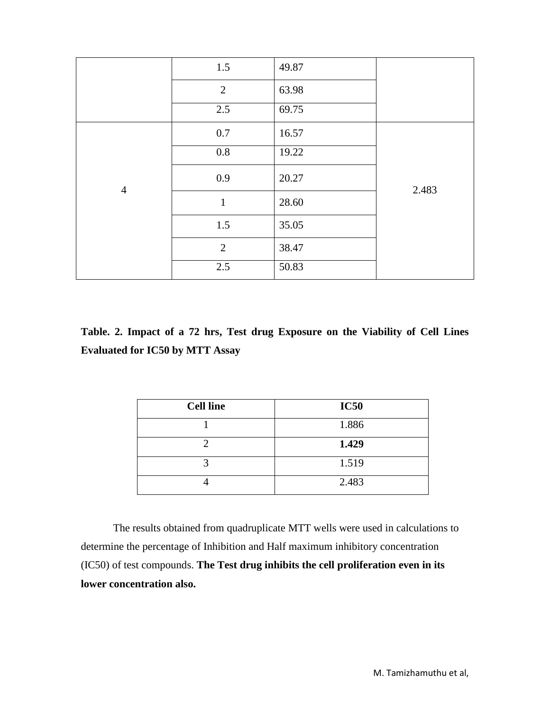|                | 1.5            | 49.87 |       |
|----------------|----------------|-------|-------|
|                | $\overline{2}$ | 63.98 |       |
|                | 2.5            | 69.75 |       |
| $\overline{4}$ | 0.7            | 16.57 |       |
|                | $0.8\,$        | 19.22 |       |
|                | 0.9            | 20.27 | 2.483 |
|                | $\mathbf{1}$   | 28.60 |       |
|                | 1.5            | 35.05 |       |
|                | $\overline{2}$ | 38.47 |       |
|                | 2.5            | 50.83 |       |

**Table. 2. Impact of a 72 hrs, Test drug Exposure on the Viability of Cell Lines Evaluated for IC50 by MTT Assay**

| <b>Cell line</b> | <b>IC50</b> |
|------------------|-------------|
|                  | 1.886       |
|                  | 1.429       |
|                  | 1.519       |
|                  | 2.483       |

The results obtained from quadruplicate MTT wells were used in calculations to determine the percentage of Inhibition and Half maximum inhibitory concentration (IC50) of test compounds. **The Test drug inhibits the cell proliferation even in its lower concentration also.**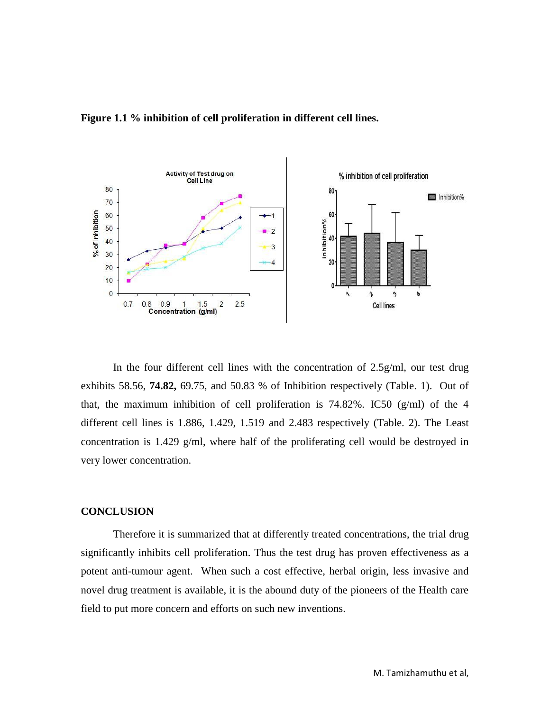

### **Figure 1.1 % inhibition of cell proliferation in different cell lines.**

In the four different cell lines with the concentration of 2.5g/ml, our test drug exhibits 58.56, **74.82,** 69.75, and 50.83 % of Inhibition respectively (Table. 1). Out of that, the maximum inhibition of cell proliferation is  $74.82\%$ . IC50 (g/ml) of the 4 different cell lines is 1.886, 1.429, 1.519 and 2.483 respectively (Table. 2). The Least concentration is 1.429 g/ml, where half of the proliferating cell would be destroyed in very lower concentration.

### **CONCLUSION**

Therefore it is summarized that at differently treated concentrations, the trial drug significantly inhibits cell proliferation. Thus the test drug has proven effectiveness as a potent anti-tumour agent. When such a cost effective, herbal origin, less invasive and novel drug treatment is available, it is the abound duty of the pioneers of the Health care field to put more concern and efforts on such new inventions.